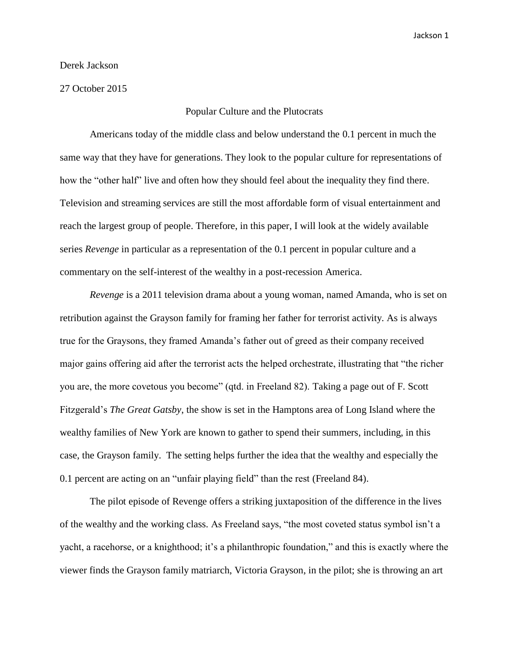## Derek Jackson

27 October 2015

## Popular Culture and the Plutocrats

Americans today of the middle class and below understand the 0.1 percent in much the same way that they have for generations. They look to the popular culture for representations of how the "other half" live and often how they should feel about the inequality they find there. Television and streaming services are still the most affordable form of visual entertainment and reach the largest group of people. Therefore, in this paper, I will look at the widely available series *Revenge* in particular as a representation of the 0.1 percent in popular culture and a commentary on the self-interest of the wealthy in a post-recession America.

*Revenge* is a 2011 television drama about a young woman, named Amanda, who is set on retribution against the Grayson family for framing her father for terrorist activity. As is always true for the Graysons, they framed Amanda's father out of greed as their company received major gains offering aid after the terrorist acts the helped orchestrate, illustrating that "the richer you are, the more covetous you become" (qtd. in Freeland 82). Taking a page out of F. Scott Fitzgerald's *The Great Gatsby*, the show is set in the Hamptons area of Long Island where the wealthy families of New York are known to gather to spend their summers, including, in this case, the Grayson family. The setting helps further the idea that the wealthy and especially the 0.1 percent are acting on an "unfair playing field" than the rest (Freeland 84).

The pilot episode of Revenge offers a striking juxtaposition of the difference in the lives of the wealthy and the working class. As Freeland says, "the most coveted status symbol isn't a yacht, a racehorse, or a knighthood; it's a philanthropic foundation," and this is exactly where the viewer finds the Grayson family matriarch, Victoria Grayson, in the pilot; she is throwing an art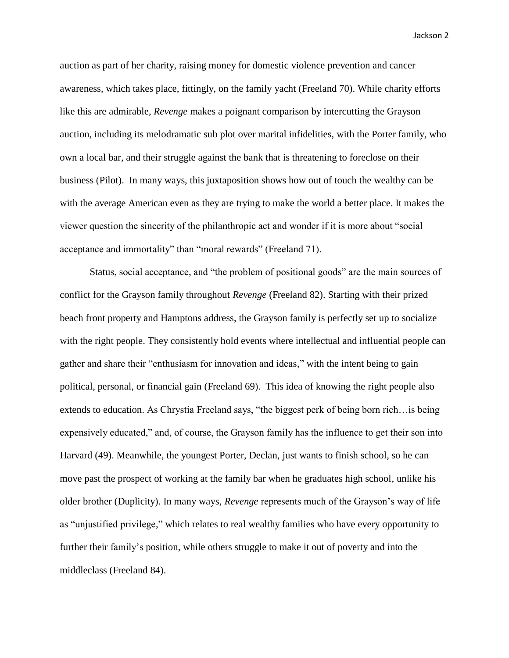Jackson 2

auction as part of her charity, raising money for domestic violence prevention and cancer awareness, which takes place, fittingly, on the family yacht (Freeland 70). While charity efforts like this are admirable, *Revenge* makes a poignant comparison by intercutting the Grayson auction, including its melodramatic sub plot over marital infidelities, with the Porter family, who own a local bar, and their struggle against the bank that is threatening to foreclose on their business (Pilot). In many ways, this juxtaposition shows how out of touch the wealthy can be with the average American even as they are trying to make the world a better place. It makes the viewer question the sincerity of the philanthropic act and wonder if it is more about "social acceptance and immortality" than "moral rewards" (Freeland 71).

Status, social acceptance, and "the problem of positional goods" are the main sources of conflict for the Grayson family throughout *Revenge* (Freeland 82). Starting with their prized beach front property and Hamptons address, the Grayson family is perfectly set up to socialize with the right people. They consistently hold events where intellectual and influential people can gather and share their "enthusiasm for innovation and ideas," with the intent being to gain political, personal, or financial gain (Freeland 69). This idea of knowing the right people also extends to education. As Chrystia Freeland says, "the biggest perk of being born rich…is being expensively educated," and, of course, the Grayson family has the influence to get their son into Harvard (49). Meanwhile, the youngest Porter, Declan, just wants to finish school, so he can move past the prospect of working at the family bar when he graduates high school, unlike his older brother (Duplicity). In many ways, *Revenge* represents much of the Grayson's way of life as "unjustified privilege," which relates to real wealthy families who have every opportunity to further their family's position, while others struggle to make it out of poverty and into the middleclass (Freeland 84).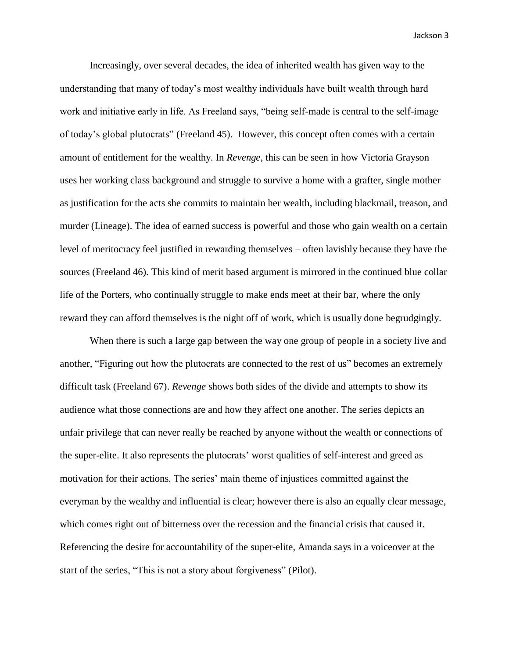Jackson 3

Increasingly, over several decades, the idea of inherited wealth has given way to the understanding that many of today's most wealthy individuals have built wealth through hard work and initiative early in life. As Freeland says, "being self-made is central to the self-image of today's global plutocrats" (Freeland 45). However, this concept often comes with a certain amount of entitlement for the wealthy. In *Revenge*, this can be seen in how Victoria Grayson uses her working class background and struggle to survive a home with a grafter, single mother as justification for the acts she commits to maintain her wealth, including blackmail, treason, and murder (Lineage). The idea of earned success is powerful and those who gain wealth on a certain level of meritocracy feel justified in rewarding themselves – often lavishly because they have the sources (Freeland 46). This kind of merit based argument is mirrored in the continued blue collar life of the Porters, who continually struggle to make ends meet at their bar, where the only reward they can afford themselves is the night off of work, which is usually done begrudgingly.

When there is such a large gap between the way one group of people in a society live and another, "Figuring out how the plutocrats are connected to the rest of us" becomes an extremely difficult task (Freeland 67). *Revenge* shows both sides of the divide and attempts to show its audience what those connections are and how they affect one another. The series depicts an unfair privilege that can never really be reached by anyone without the wealth or connections of the super-elite. It also represents the plutocrats' worst qualities of self-interest and greed as motivation for their actions. The series' main theme of injustices committed against the everyman by the wealthy and influential is clear; however there is also an equally clear message, which comes right out of bitterness over the recession and the financial crisis that caused it. Referencing the desire for accountability of the super-elite, Amanda says in a voiceover at the start of the series, "This is not a story about forgiveness" (Pilot).